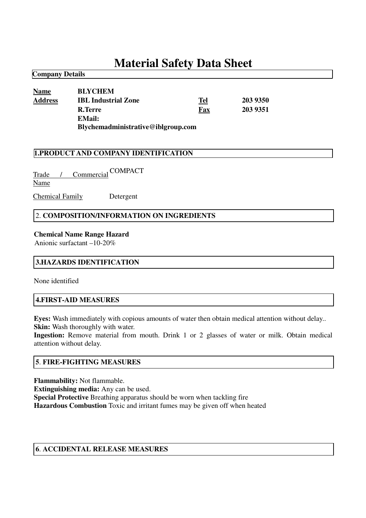# **Material Safety Data Sheet**

## **Name BLYCHEM Address IBL Industrial Zone Tel 203 9350 R.Terre Fax 203 9351 EMail: Blychemadministrative@iblgroup.com**

#### **1.PRODUCT AND COMPANY IDENTIFICATION**

Trade / Commercial COMPACT Name

Chemical Family Detergent

## 2. **COMPOSITION/INFORMATION ON INGREDIENTS**

#### **Chemical Name Range Hazard**

Anionic surfactant –10-20%

#### **3.HAZARDS IDENTIFICATION**

None identified

**Company Details**

#### **4.FIRST-AID MEASURES**

**Eyes:** Wash immediately with copious amounts of water then obtain medical attention without delay.. **Skin:** Wash thoroughly with water.

**Ingestion:** Remove material from mouth. Drink 1 or 2 glasses of water or milk. Obtain medical attention without delay.

#### **5**. **FIRE-FIGHTING MEASURES**

**Flammability:** Not flammable.

**Extinguishing media:** Any can be used.

**Special Protective** Breathing apparatus should be worn when tackling fire

**Hazardous Combustion** Toxic and irritant fumes may be given off when heated

#### **6**. **ACCIDENTAL RELEASE MEASURES**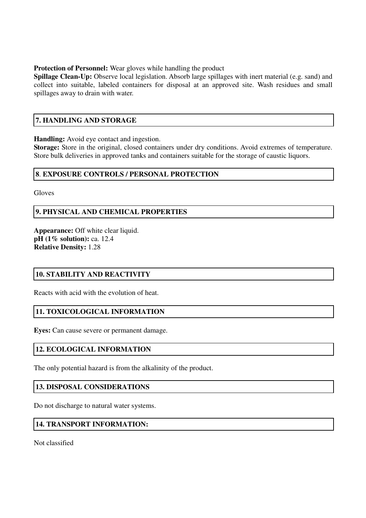#### **Protection of Personnel:** Wear gloves while handling the product

**Spillage Clean-Up:** Observe local legislation. Absorb large spillages with inert material (e.g. sand) and collect into suitable, labeled containers for disposal at an approved site. Wash residues and small spillages away to drain with water.

## **7. HANDLING AND STORAGE**

**Handling:** Avoid eye contact and ingestion.

**Storage:** Store in the original, closed containers under dry conditions. Avoid extremes of temperature. Store bulk deliveries in approved tanks and containers suitable for the storage of caustic liquors.

## **8**. **EXPOSURE CONTROLS / PERSONAL PROTECTION**

**Gloves** 

## **9. PHYSICAL AND CHEMICAL PROPERTIES**

**Appearance:** Off white clear liquid. **pH (1% solution):** ca. 12.4 **Relative Density:** 1.28

## **10. STABILITY AND REACTIVITY**

Reacts with acid with the evolution of heat.

## **11. TOXICOLOGICAL INFORMATION**

**Eyes:** Can cause severe or permanent damage.

## **12. ECOLOGICAL INFORMATION**

The only potential hazard is from the alkalinity of the product.

## **13. DISPOSAL CONSIDERATIONS**

Do not discharge to natural water systems.

## **14. TRANSPORT INFORMATION:**

Not classified